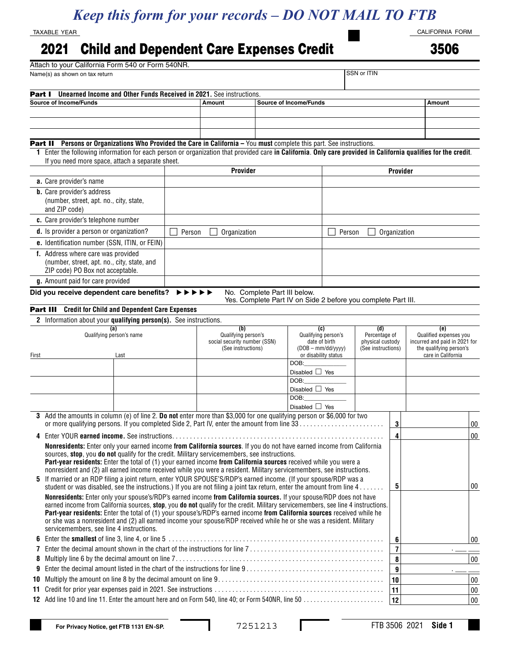## *Keep this form for your records – DO NOT MAIL TO FTB*

TAXABLE YEAR

## 2021 Child and Dependent Care Expenses Credit

CALIFORNIA FORM

3506

|                               | Attach to your California Form 540 or Form 540NR.                                                                                                                                                                                                         |        |                                         |                              |                                                               |                                                                                |                      |                  |                                                                                |        |  |
|-------------------------------|-----------------------------------------------------------------------------------------------------------------------------------------------------------------------------------------------------------------------------------------------------------|--------|-----------------------------------------|------------------------------|---------------------------------------------------------------|--------------------------------------------------------------------------------|----------------------|------------------|--------------------------------------------------------------------------------|--------|--|
|                               | Name(s) as shown on tax return                                                                                                                                                                                                                            |        |                                         |                              |                                                               |                                                                                | SSN or ITIN          |                  |                                                                                |        |  |
| Part I                        | Unearned Income and Other Funds Received in 2021. See instructions.                                                                                                                                                                                       |        |                                         |                              |                                                               |                                                                                |                      |                  |                                                                                |        |  |
| <b>Source of Income/Funds</b> |                                                                                                                                                                                                                                                           |        | <b>Source of Income/Funds</b><br>Amount |                              |                                                               |                                                                                |                      |                  | Amount                                                                         |        |  |
|                               |                                                                                                                                                                                                                                                           |        |                                         |                              |                                                               |                                                                                |                      |                  |                                                                                |        |  |
|                               |                                                                                                                                                                                                                                                           |        |                                         |                              |                                                               |                                                                                |                      |                  |                                                                                |        |  |
|                               |                                                                                                                                                                                                                                                           |        |                                         |                              |                                                               |                                                                                |                      |                  |                                                                                |        |  |
|                               |                                                                                                                                                                                                                                                           |        |                                         |                              |                                                               |                                                                                |                      |                  |                                                                                |        |  |
|                               | Part II Persons or Organizations Who Provided the Care in California - You must complete this part. See instructions.                                                                                                                                     |        |                                         |                              |                                                               |                                                                                |                      |                  |                                                                                |        |  |
|                               | Enter the following information for each person or organization that provided care in California. Only care provided in California qualifies for the credit.                                                                                              |        |                                         |                              |                                                               |                                                                                |                      |                  |                                                                                |        |  |
|                               | If you need more space, attach a separate sheet.                                                                                                                                                                                                          |        |                                         |                              |                                                               |                                                                                |                      | Provider         |                                                                                |        |  |
|                               |                                                                                                                                                                                                                                                           |        | Provider                                |                              |                                                               |                                                                                |                      |                  |                                                                                |        |  |
|                               | a. Care provider's name                                                                                                                                                                                                                                   |        |                                         |                              |                                                               |                                                                                |                      |                  |                                                                                |        |  |
|                               | <b>b</b> . Care provider's address                                                                                                                                                                                                                        |        |                                         |                              |                                                               |                                                                                |                      |                  |                                                                                |        |  |
|                               | (number, street, apt. no., city, state,                                                                                                                                                                                                                   |        |                                         |                              |                                                               |                                                                                |                      |                  |                                                                                |        |  |
|                               | and ZIP code)                                                                                                                                                                                                                                             |        |                                         |                              |                                                               |                                                                                |                      |                  |                                                                                |        |  |
|                               | c. Care provider's telephone number                                                                                                                                                                                                                       |        |                                         |                              |                                                               |                                                                                |                      |                  |                                                                                |        |  |
|                               | d. Is provider a person or organization?                                                                                                                                                                                                                  | Person | Organization                            | Person                       |                                                               |                                                                                |                      | Organization     |                                                                                |        |  |
|                               |                                                                                                                                                                                                                                                           |        |                                         |                              |                                                               |                                                                                |                      |                  |                                                                                |        |  |
|                               | e. Identification number (SSN, ITIN, or FEIN)                                                                                                                                                                                                             |        |                                         |                              |                                                               |                                                                                |                      |                  |                                                                                |        |  |
|                               | f. Address where care was provided                                                                                                                                                                                                                        |        |                                         |                              |                                                               |                                                                                |                      |                  |                                                                                |        |  |
|                               | (number, street, apt. no., city, state, and<br>ZIP code) PO Box not acceptable.                                                                                                                                                                           |        |                                         |                              |                                                               |                                                                                |                      |                  |                                                                                |        |  |
|                               |                                                                                                                                                                                                                                                           |        |                                         |                              |                                                               |                                                                                |                      |                  |                                                                                |        |  |
|                               | g. Amount paid for care provided                                                                                                                                                                                                                          |        |                                         |                              |                                                               |                                                                                |                      |                  |                                                                                |        |  |
|                               | Did you receive dependent care benefits?                                                                                                                                                                                                                  | ▸▶     |                                         | No. Complete Part III below. |                                                               |                                                                                |                      |                  |                                                                                |        |  |
|                               |                                                                                                                                                                                                                                                           |        |                                         |                              | Yes. Complete Part IV on Side 2 before you complete Part III. |                                                                                |                      |                  |                                                                                |        |  |
|                               | <b>Part III</b> Credit for Child and Dependent Care Expenses                                                                                                                                                                                              |        |                                         |                              |                                                               |                                                                                |                      |                  |                                                                                |        |  |
|                               | 2 Information about your qualifying person(s). See instructions.                                                                                                                                                                                          |        |                                         |                              |                                                               |                                                                                |                      |                  |                                                                                |        |  |
|                               | (a)<br>Qualifying person's name                                                                                                                                                                                                                           |        | (b)<br>Qualifying person's              |                              | (c)<br>Qualifying person's                                    |                                                                                | (d)<br>Percentage of |                  | (e)<br>Qualified expenses you                                                  |        |  |
|                               |                                                                                                                                                                                                                                                           |        | social security number (SSN)            |                              |                                                               | date of birth<br>physical custody<br>$(DOB - mm/dd/yyy)$<br>(See instructions) |                      |                  | incurred and paid in 2021 for<br>the qualifying person's<br>care in California |        |  |
|                               |                                                                                                                                                                                                                                                           |        | (See instructions)                      |                              | or disability status                                          |                                                                                |                      |                  |                                                                                |        |  |
| First                         | Last                                                                                                                                                                                                                                                      |        |                                         |                              | DOB:                                                          |                                                                                |                      |                  |                                                                                |        |  |
|                               |                                                                                                                                                                                                                                                           |        |                                         |                              | Disabled $\Box$ Yes                                           |                                                                                |                      |                  |                                                                                |        |  |
|                               |                                                                                                                                                                                                                                                           |        |                                         |                              | DOB:                                                          |                                                                                |                      |                  |                                                                                |        |  |
|                               |                                                                                                                                                                                                                                                           |        |                                         |                              | Disabled $\Box$ Yes                                           |                                                                                |                      |                  |                                                                                |        |  |
|                               |                                                                                                                                                                                                                                                           |        |                                         |                              | DOB:                                                          |                                                                                |                      |                  |                                                                                |        |  |
|                               |                                                                                                                                                                                                                                                           |        |                                         |                              | Disabled $\Box$ Yes                                           |                                                                                |                      |                  |                                                                                |        |  |
|                               | 3 Add the amounts in column (e) of line 2. Do not enter more than \$3,000 for one qualifying person or \$6,000 for two                                                                                                                                    |        |                                         |                              |                                                               |                                                                                |                      |                  |                                                                                |        |  |
|                               | or more qualifying persons. If you completed Side 2, Part IV, enter the amount from line 33                                                                                                                                                               |        |                                         |                              |                                                               |                                                                                |                      | 3                |                                                                                | 00     |  |
|                               | 4 Enter YOUR earned income. See instructions.                                                                                                                                                                                                             |        |                                         |                              |                                                               |                                                                                |                      | 4                |                                                                                | 00     |  |
|                               | Nonresidents: Enter only your earned income from California sources. If you do not have earned income from California                                                                                                                                     |        |                                         |                              |                                                               |                                                                                |                      |                  |                                                                                |        |  |
|                               | sources, stop, you do not qualify for the credit. Military servicemembers, see instructions.                                                                                                                                                              |        |                                         |                              |                                                               |                                                                                |                      |                  |                                                                                |        |  |
|                               | Part-year residents: Enter the total of (1) your earned income from California sources received while you were a                                                                                                                                          |        |                                         |                              |                                                               |                                                                                |                      |                  |                                                                                |        |  |
|                               | nonresident and (2) all earned income received while you were a resident. Military servicemembers, see instructions.                                                                                                                                      |        |                                         |                              |                                                               |                                                                                |                      |                  |                                                                                |        |  |
|                               | 5 If married or an RDP filing a joint return, enter YOUR SPOUSE'S/RDP's earned income. (If your spouse/RDP was a                                                                                                                                          |        |                                         |                              |                                                               |                                                                                |                      |                  |                                                                                |        |  |
|                               | student or was disabled, see the instructions.) If you are not filing a joint tax return, enter the amount from line $4 \ldots \ldots$                                                                                                                    |        |                                         |                              |                                                               |                                                                                |                      | 5                |                                                                                | 00     |  |
|                               | Nonresidents: Enter only your spouse's/RDP's earned income from California sources. If your spouse/RDP does not have<br>earned income from California sources, stop, you do not qualify for the credit. Military servicemembers, see line 4 instructions. |        |                                         |                              |                                                               |                                                                                |                      |                  |                                                                                |        |  |
|                               | Part-year residents: Enter the total of (1) your spouse's/RDP's earned income from California sources received while he                                                                                                                                   |        |                                         |                              |                                                               |                                                                                |                      |                  |                                                                                |        |  |
|                               | or she was a nonresident and (2) all earned income your spouse/RDP received while he or she was a resident. Military                                                                                                                                      |        |                                         |                              |                                                               |                                                                                |                      |                  |                                                                                |        |  |
|                               | servicemembers, see line 4 instructions.                                                                                                                                                                                                                  |        |                                         |                              |                                                               |                                                                                |                      |                  |                                                                                |        |  |
|                               |                                                                                                                                                                                                                                                           |        |                                         |                              |                                                               |                                                                                |                      | $6\phantom{1}$   |                                                                                | 00     |  |
| 7                             |                                                                                                                                                                                                                                                           |        |                                         |                              |                                                               |                                                                                |                      | $\overline{7}$   |                                                                                |        |  |
| 8                             |                                                                                                                                                                                                                                                           |        |                                         |                              |                                                               |                                                                                |                      | 8                |                                                                                | $00\,$ |  |
|                               |                                                                                                                                                                                                                                                           |        |                                         |                              |                                                               |                                                                                |                      | $\boldsymbol{9}$ |                                                                                |        |  |
| 9                             |                                                                                                                                                                                                                                                           |        |                                         |                              |                                                               |                                                                                |                      |                  |                                                                                |        |  |
| 10                            |                                                                                                                                                                                                                                                           |        |                                         |                              |                                                               |                                                                                |                      | 10               |                                                                                | $00\,$ |  |
| 11                            |                                                                                                                                                                                                                                                           |        |                                         |                              |                                                               |                                                                                |                      | 11               |                                                                                | $00\,$ |  |
|                               |                                                                                                                                                                                                                                                           |        |                                         |                              |                                                               |                                                                                |                      | 12               |                                                                                | $00\,$ |  |